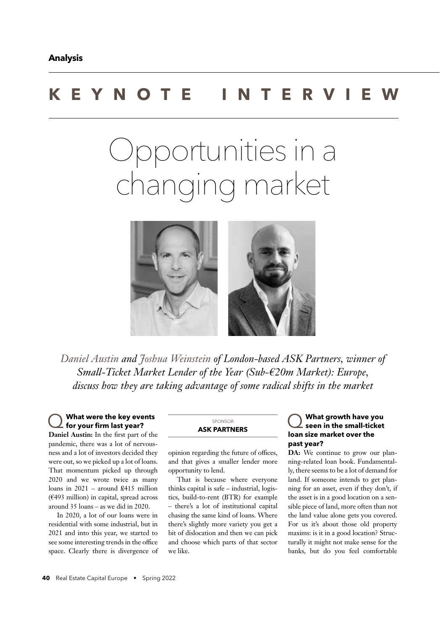# **KEYNOTE INTERVIEW**

# Opportunities in a changing market



Daniel Austin *and Joshua Weinstein* of London-based ASK Partners, winner of Small-Ticket Market Lender of the Year (Sub-€20m Market): Europe, *discuss how they are taking advantage of some radical shifts in the market* 

### Q **What were the key events**  for your firm last year?

Daniel Austin: In the first part of the pandemic, there was a lot of nervousness and a lot of investors decided they were out, so we picked up a lot of loans. That momentum picked up through 2020 and we wrote twice as many loans in 2021 – around £415 million (€493 million) in capital, spread across around 35 loans – as we did in 2020.

In 2020, a lot of our loans were in residential with some industrial, but in 2021 and into this year, we started to see some interesting trends in the office space. Clearly there is divergence of

SPONSOR **ASK PARTNERS**

opinion regarding the future of offices, and that gives a smaller lender more opportunity to lend.

That is because where everyone thinks capital is safe – industrial, logistics, build-to-rent (BTR) for example – there's a lot of institutional capital chasing the same kind of loans. Where there's slightly more variety you get a bit of dislocation and then we can pick and choose which parts of that sector we like.

#### Q **What growth have you seen in the small-ticket loan size market over the past year?**

DA: We continue to grow our planning-related loan book. Fundamentally, there seems to be a lot of demand for land. If someone intends to get planning for an asset, even if they don't, if the asset is in a good location on a sensible piece of land, more often than not the land value alone gets you covered. For us it's about those old property maxims: is it in a good location? Structurally it might not make sense for the banks, but do you feel comfortable